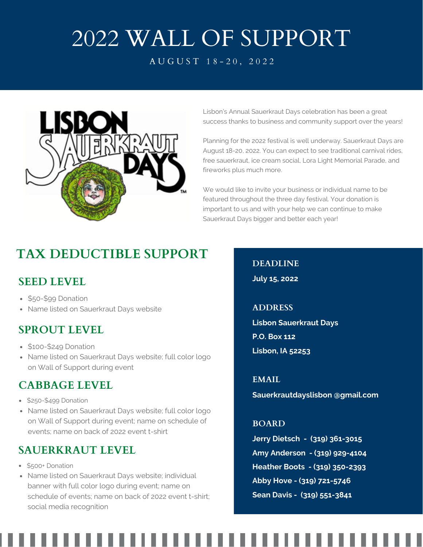# 2022 WALL OF SUPPORT

### A U G U S T 1 8 - 2 0 , 2 0 2 2



Lisbon's Annual Sauerkraut Days celebration has been a great success thanks to business and community support over the years!

Planning for the 2022 festival is well underway. Sauerkraut Days are August 18-20, 2022. You can expect to see traditional carnival rides, free sauerkraut, ice cream social, Lora Light Memorial Parade, and fireworks plus much more.

We would like to invite your business or individual name to be featured throughout the three day festival. Your donation is important to us and with your help we can continue to make Sauerkraut Days bigger and better each year!

# **TAX DEDUCTIBLE SUPPORT**

# **SEED LEVEL**

- \$50-\$99 Donation
- Name listed on Sauerkraut Days website

# **SPROUT LEVEL**

- \$100-\$249 Donation
- Name listed on Sauerkraut Days website; full color logo on Wall of Support during event

# **CABBAGE LEVEL**

- $•$  \$250-\$499 Donation
- Name listed on Sauerkraut Days website; full color logo on Wall of Support during event; name on schedule of events; name on back of 2022 event t-shirt

# **SAUERKRAUT LEVEL**

- $\bullet$  \$500+ Donation
- Name listed on Sauerkraut Days website; individual banner with full color logo during event; name on schedule of events; name on back of 2022 event t-shirt; social media recognition

**DEADLINE July 15, 2022**

### **ADDRESS**

**Lisbon Sauerkraut Days P.O. Box 112 Lisbon, IA 52253**

#### **EMAIL**

**Sauerkrautdayslisbon @gmail.com**

#### **BOARD**

**Jerry Dietsch - (319) 361-3015 Amy Anderson - (319) 929-4104 Heather Boots - (319) 350-2393 Abby Hove - (319) 721-5746 Sean Davis - (319) 551-3841**